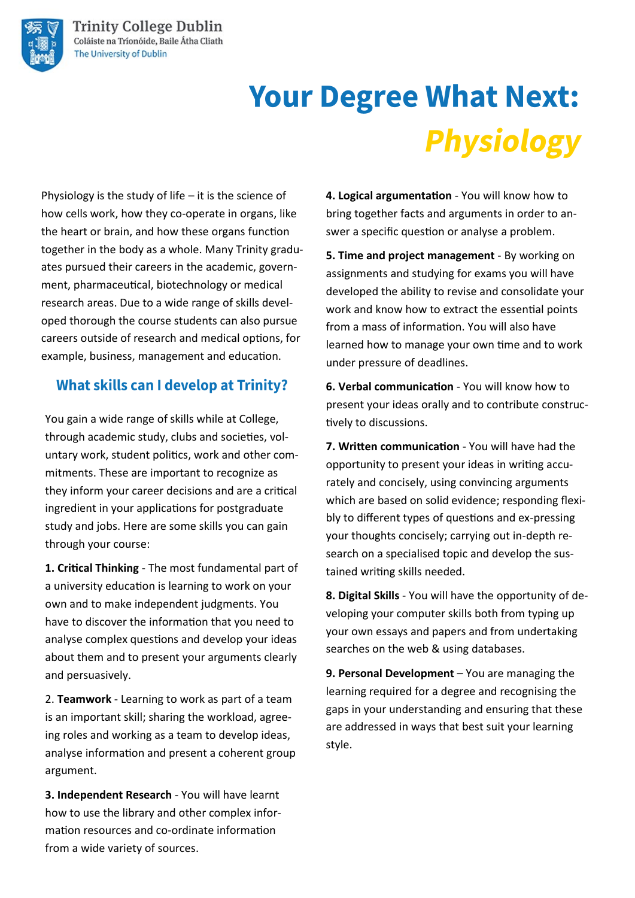

# **Your Degree What Next: Physiology**

Physiology is the study of life – it is the science of how cells work, how they co-operate in organs, like the heart or brain, and how these organs function together in the body as a whole. Many Trinity graduates pursued their careers in the academic, government, pharmaceutical, biotechnology or medical research areas. Due to a wide range of skills developed thorough the course students can also pursue careers outside of research and medical options, for example, business, management and education.

#### What skills can I develop at Trinity?

You gain a wide range of skills while at College, through academic study, clubs and societies, voluntary work, student politics, work and other commitments. These are important to recognize as they inform your career decisions and are a critical ingredient in your applications for postgraduate study and jobs. Here are some skills you can gain through your course:

**1. Critical Thinking** - The most fundamental part of a university education is learning to work on your own and to make independent judgments. You have to discover the information that you need to analyse complex questions and develop your ideas about them and to present your arguments clearly and persuasively.

2. **Teamwork** - Learning to work as part of a team is an important skill; sharing the workload, agreeing roles and working as a team to develop ideas, analyse information and present a coherent group argument.

**3. Independent Research** - You will have learnt how to use the library and other complex information resources and co-ordinate information from a wide variety of sources.

**4. Logical argumentation** - You will know how to bring together facts and arguments in order to answer a specific question or analyse a problem.

**5. Time and project management** - By working on assignments and studying for exams you will have developed the ability to revise and consolidate your work and know how to extract the essential points from a mass of information. You will also have learned how to manage your own time and to work under pressure of deadlines.

**6. Verbal communication** - You will know how to present your ideas orally and to contribute constructively to discussions.

**7. Written communication** - You will have had the opportunity to present your ideas in writing accurately and concisely, using convincing arguments which are based on solid evidence; responding flexibly to different types of questions and ex-pressing your thoughts concisely; carrying out in-depth research on a specialised topic and develop the sustained writing skills needed.

**8. Digital Skills** - You will have the opportunity of developing your computer skills both from typing up your own essays and papers and from undertaking searches on the web & using databases.

**9. Personal Development** – You are managing the learning required for a degree and recognising the gaps in your understanding and ensuring that these are addressed in ways that best suit your learning style.